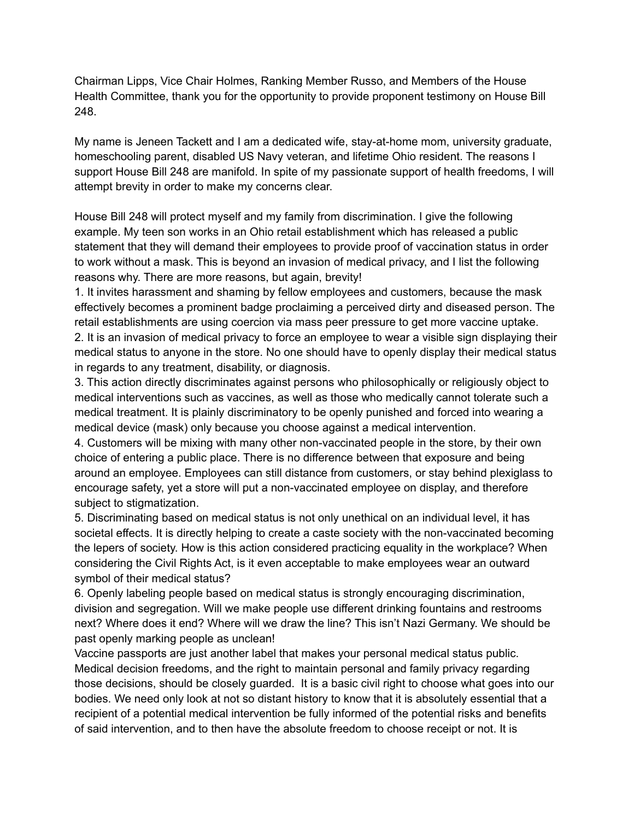Chairman Lipps, Vice Chair Holmes, Ranking Member Russo, and Members of the House Health Committee, thank you for the opportunity to provide proponent testimony on House Bill 248.

My name is Jeneen Tackett and I am a dedicated wife, stay-at-home mom, university graduate, homeschooling parent, disabled US Navy veteran, and lifetime Ohio resident. The reasons I support House Bill 248 are manifold. In spite of my passionate support of health freedoms, I will attempt brevity in order to make my concerns clear.

House Bill 248 will protect myself and my family from discrimination. I give the following example. My teen son works in an Ohio retail establishment which has released a public statement that they will demand their employees to provide proof of vaccination status in order to work without a mask. This is beyond an invasion of medical privacy, and I list the following reasons why. There are more reasons, but again, brevity!

1. It invites harassment and shaming by fellow employees and customers, because the mask effectively becomes a prominent badge proclaiming a perceived dirty and diseased person. The retail establishments are using coercion via mass peer pressure to get more vaccine uptake. 2. It is an invasion of medical privacy to force an employee to wear a visible sign displaying their medical status to anyone in the store. No one should have to openly display their medical status in regards to any treatment, disability, or diagnosis.

3. This action directly discriminates against persons who philosophically or religiously object to medical interventions such as vaccines, as well as those who medically cannot tolerate such a medical treatment. It is plainly discriminatory to be openly punished and forced into wearing a medical device (mask) only because you choose against a medical intervention.

4. Customers will be mixing with many other non-vaccinated people in the store, by their own choice of entering a public place. There is no difference between that exposure and being around an employee. Employees can still distance from customers, or stay behind plexiglass to encourage safety, yet a store will put a non-vaccinated employee on display, and therefore subject to stigmatization.

5. Discriminating based on medical status is not only unethical on an individual level, it has societal effects. It is directly helping to create a caste society with the non-vaccinated becoming the lepers of society. How is this action considered practicing equality in the workplace? When considering the Civil Rights Act, is it even acceptable to make employees wear an outward symbol of their medical status?

6. Openly labeling people based on medical status is strongly encouraging discrimination, division and segregation. Will we make people use different drinking fountains and restrooms next? Where does it end? Where will we draw the line? This isn't Nazi Germany. We should be past openly marking people as unclean!

Vaccine passports are just another label that makes your personal medical status public. Medical decision freedoms, and the right to maintain personal and family privacy regarding those decisions, should be closely guarded. It is a basic civil right to choose what goes into our bodies. We need only look at not so distant history to know that it is absolutely essential that a recipient of a potential medical intervention be fully informed of the potential risks and benefits of said intervention, and to then have the absolute freedom to choose receipt or not. It is